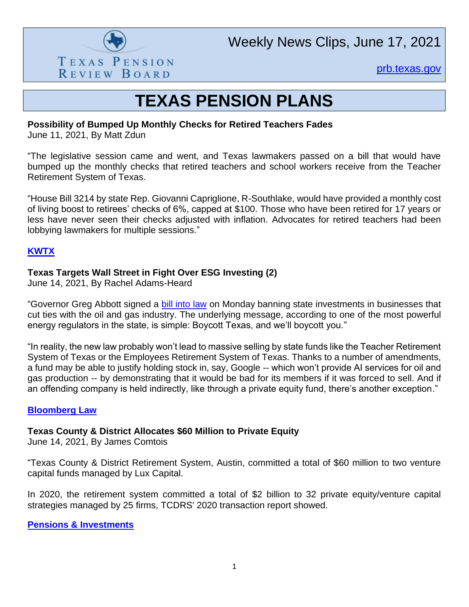

Weekly News Clips, June 17, 2021

[prb.texas.gov](http://www.prb.texas.gov/)

# **TEXAS PENSION PLANS**

### **Possibility of Bumped Up Monthly Checks for Retired Teachers Fades**

June 11, 2021, By Matt Zdun

"The legislative session came and went, and Texas lawmakers passed on a bill that would have bumped up the monthly checks that retired teachers and school workers receive from the Teacher Retirement System of Texas.

"House Bill 3214 by state Rep. Giovanni Capriglione, R-Southlake, would have provided a monthly cost of living boost to retirees' checks of 6%, capped at \$100. Those who have been retired for 17 years or less have never seen their checks adjusted with inflation. Advocates for retired teachers had been lobbying lawmakers for multiple sessions."

# **[KWTX](https://www.kwtx.com/2021/06/12/possibility-bumped-up-monthly-checks-retired-teachers-fades/)**

# **Texas Targets Wall Street in Fight Over ESG Investing (2)**

June 14, 2021, By Rachel Adams-Heard

"Governor Greg Abbott signed a [bill into law](https://capitol.texas.gov/BillLookup/History.aspx?LegSess=87R&Bill=SB13) on Monday banning state investments in businesses that cut ties with the oil and gas industry. The underlying message, according to one of the most powerful energy regulators in the state, is simple: Boycott Texas, and we'll boycott you."

"In reality, the new law probably won't lead to massive selling by state funds like the Teacher Retirement System of Texas or the Employees Retirement System of Texas. Thanks to a number of amendments, a fund may be able to justify holding stock in, say, Google -- which won't provide AI services for oil and gas production -- by demonstrating that it would be bad for its members if it was forced to sell. And if an offending company is held indirectly, like through a private equity fund, there's another exception."

### **[Bloomberg Law](https://news.bloomberglaw.com/employee-benefits/texas-targets-wall-street-in-fight-over-esg-investing-1)**

### **Texas County & District Allocates \$60 Million to Private Equity**

June 14, 2021, By James Comtois

"Texas County & District Retirement System, Austin, committed a total of \$60 million to two venture capital funds managed by Lux Capital.

In 2020, the retirement system committed a total of \$2 billion to 32 private equity/venture capital strategies managed by 25 firms, TCDRS' 2020 transaction report showed.

**[Pensions & Investments](https://www.pionline.com/searches-and-hires/texas-county-district-allocates-60-million-private-equity)**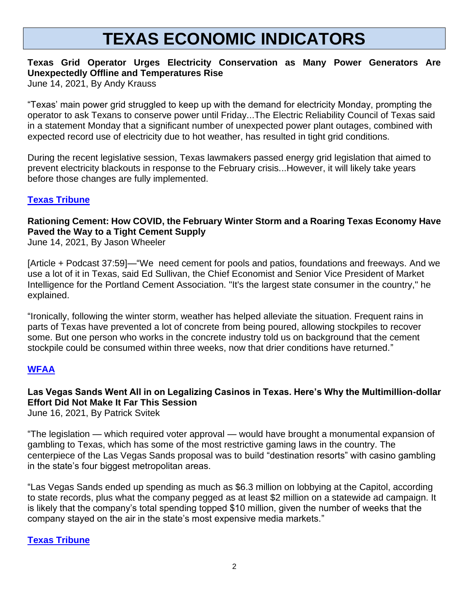# **TEXAS ECONOMIC INDICATORS**

# **Texas Grid Operator Urges Electricity Conservation as Many Power Generators Are Unexpectedly Offline and Temperatures Rise**

June 14, 2021, By Andy Krauss

"Texas' main power grid struggled to keep up with the demand for electricity Monday, prompting the operator to ask Texans to conserve power until Friday...The Electric Reliability Council of Texas said in a statement Monday that a significant number of unexpected power plant outages, combined with expected record use of electricity due to hot weather, has resulted in tight grid conditions.

During the recent legislative session, Texas lawmakers passed energy grid legislation that aimed to prevent electricity blackouts in response to the February crisis...However, it will likely take years before those changes are fully implemented.

# **[Texas Tribune](https://www.kbtx.com/2021/06/09/texas-4-h-roundup-providing-big-economic-boost-bcs-heading-into-summer/)**

# **Rationing Cement: How COVID, the February Winter Storm and a Roaring Texas Economy Have Paved the Way to a Tight Cement Supply**

June 14, 2021, By Jason Wheeler

[Article + Podcast 37:59]—"We need cement for pools and patios, foundations and freeways. And we use a lot of it in Texas, said Ed Sullivan, the Chief Economist and Senior Vice President of Market Intelligence for the Portland Cement Association. "It's the largest state consumer in the country," he explained.

"Ironically, following the winter storm, weather has helped alleviate the situation. Frequent rains in parts of Texas have prevented a lot of concrete from being poured, allowing stockpiles to recover some. But one person who works in the concrete industry told us on background that the cement stockpile could be consumed within three weeks, now that drier conditions have returned."

# **[WFAA](https://www.wfaa.com/article/money/business/right-on-the-money/covid-february-winter-storm-texas-economy-tight-cement-supply/287-e41421dc-02b1-4bb5-901f-b797b9118c1c)**

# **Las Vegas Sands Went All in on Legalizing Casinos in Texas. Here's Why the Multimillion-dollar Effort Did Not Make It Far This Session**

June 16, 2021, By Patrick Svitek

"The legislation — which required voter approval — would have brought a monumental expansion of gambling to Texas, which has some of the most restrictive gaming laws in the country. The centerpiece of the Las Vegas Sands proposal was to build "destination resorts" with casino gambling in the state's four biggest metropolitan areas.

"Las Vegas Sands ended up spending as much as \$6.3 million on lobbying at the Capitol, according to state records, plus what the company pegged as at least \$2 million on a statewide ad campaign. It is likely that the company's total spending topped \$10 million, given the number of weeks that the company stayed on the air in the state's most expensive media markets."

### **[Texas Tribune](https://www.texastribune.org/2021/06/16/las-vegas-sands-texas-casino-gambling/)**